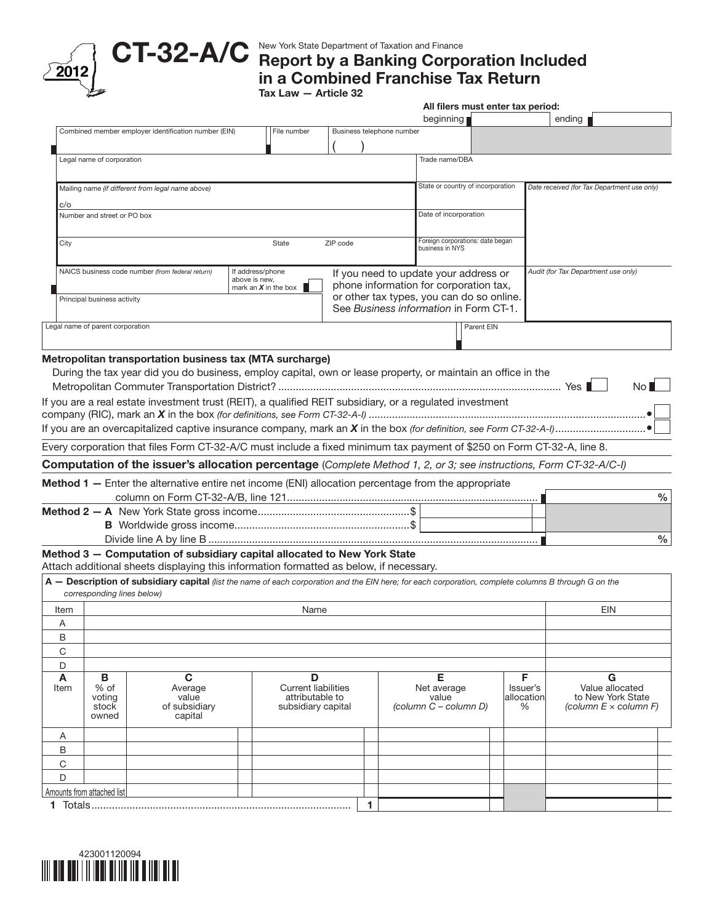New York State Department of Taxation and Finance

Report by a Banking Corporation Included in a Combined Franchise Tax Return CT-32-A/C

Tax Law — Article 32

|                            |                                  |                                                                                                                                                                    |                                   |                                                                     |                           |   |                                                                                     |            | All filers must enter tax period: |                                                                      |
|----------------------------|----------------------------------|--------------------------------------------------------------------------------------------------------------------------------------------------------------------|-----------------------------------|---------------------------------------------------------------------|---------------------------|---|-------------------------------------------------------------------------------------|------------|-----------------------------------|----------------------------------------------------------------------|
|                            |                                  |                                                                                                                                                                    |                                   |                                                                     |                           |   | beginning                                                                           |            |                                   | ending                                                               |
|                            |                                  | Combined member employer identification number (EIN)                                                                                                               |                                   | File number                                                         | Business telephone number |   |                                                                                     |            |                                   |                                                                      |
|                            |                                  |                                                                                                                                                                    |                                   |                                                                     |                           |   |                                                                                     |            |                                   |                                                                      |
|                            | Legal name of corporation        |                                                                                                                                                                    |                                   |                                                                     |                           |   | Trade name/DBA                                                                      |            |                                   |                                                                      |
|                            |                                  | Mailing name (if different from legal name above)                                                                                                                  |                                   |                                                                     |                           |   | State or country of incorporation                                                   |            |                                   | Date received (for Tax Department use only)                          |
| c/o                        |                                  |                                                                                                                                                                    |                                   |                                                                     |                           |   |                                                                                     |            |                                   |                                                                      |
|                            | Number and street or PO box      |                                                                                                                                                                    |                                   |                                                                     |                           |   | Date of incorporation                                                               |            |                                   |                                                                      |
| City                       |                                  |                                                                                                                                                                    |                                   | State                                                               | ZIP code                  |   | Foreign corporations: date began                                                    |            |                                   |                                                                      |
|                            |                                  |                                                                                                                                                                    |                                   |                                                                     |                           |   | business in NYS                                                                     |            |                                   |                                                                      |
|                            |                                  | NAICS business code number (from federal return)                                                                                                                   | If address/phone<br>above is new, |                                                                     |                           |   | If you need to update your address or                                               |            |                                   | Audit (for Tax Department use only)                                  |
|                            |                                  |                                                                                                                                                                    |                                   | mark an $X$ in the box                                              |                           |   | phone information for corporation tax,                                              |            |                                   |                                                                      |
|                            | Principal business activity      |                                                                                                                                                                    |                                   |                                                                     |                           |   | or other tax types, you can do so online.<br>See Business information in Form CT-1. |            |                                   |                                                                      |
|                            | Legal name of parent corporation |                                                                                                                                                                    |                                   |                                                                     |                           |   |                                                                                     | Parent EIN |                                   |                                                                      |
|                            |                                  |                                                                                                                                                                    |                                   |                                                                     |                           |   |                                                                                     |            |                                   |                                                                      |
|                            |                                  | Metropolitan transportation business tax (MTA surcharge)                                                                                                           |                                   |                                                                     |                           |   |                                                                                     |            |                                   |                                                                      |
|                            |                                  | During the tax year did you do business, employ capital, own or lease property, or maintain an office in the                                                       |                                   |                                                                     |                           |   |                                                                                     |            |                                   |                                                                      |
|                            |                                  |                                                                                                                                                                    |                                   |                                                                     |                           |   |                                                                                     |            |                                   | No <sup>T</sup>                                                      |
|                            |                                  | If you are a real estate investment trust (REIT), a qualified REIT subsidiary, or a regulated investment                                                           |                                   |                                                                     |                           |   |                                                                                     |            |                                   |                                                                      |
|                            |                                  |                                                                                                                                                                    |                                   |                                                                     |                           |   |                                                                                     |            |                                   |                                                                      |
|                            |                                  |                                                                                                                                                                    |                                   |                                                                     |                           |   |                                                                                     |            |                                   |                                                                      |
|                            |                                  | Every corporation that files Form CT-32-A/C must include a fixed minimum tax payment of \$250 on Form CT-32-A, line 8.                                             |                                   |                                                                     |                           |   |                                                                                     |            |                                   |                                                                      |
|                            |                                  | Computation of the issuer's allocation percentage (Complete Method 1, 2, or 3; see instructions, Form CT-32-A/C-I)                                                 |                                   |                                                                     |                           |   |                                                                                     |            |                                   |                                                                      |
|                            |                                  |                                                                                                                                                                    |                                   |                                                                     |                           |   |                                                                                     |            |                                   |                                                                      |
|                            |                                  | Method 1 - Enter the alternative entire net income (ENI) allocation percentage from the appropriate                                                                |                                   |                                                                     |                           |   |                                                                                     |            |                                   |                                                                      |
|                            |                                  |                                                                                                                                                                    |                                   |                                                                     |                           |   |                                                                                     |            |                                   | $\frac{0}{0}$                                                        |
|                            |                                  |                                                                                                                                                                    |                                   |                                                                     |                           |   |                                                                                     |            |                                   |                                                                      |
|                            |                                  |                                                                                                                                                                    |                                   |                                                                     |                           |   |                                                                                     |            |                                   |                                                                      |
|                            |                                  |                                                                                                                                                                    |                                   |                                                                     |                           |   |                                                                                     |            |                                   | $\%$                                                                 |
|                            |                                  | Method 3 - Computation of subsidiary capital allocated to New York State<br>Attach additional sheets displaying this information formatted as below, if necessary. |                                   |                                                                     |                           |   |                                                                                     |            |                                   |                                                                      |
|                            |                                  |                                                                                                                                                                    |                                   |                                                                     |                           |   |                                                                                     |            |                                   |                                                                      |
|                            | corresponding lines below)       | A - Description of subsidiary capital (list the name of each corporation and the EIN here; for each corporation, complete columns B through G on the               |                                   |                                                                     |                           |   |                                                                                     |            |                                   |                                                                      |
|                            |                                  |                                                                                                                                                                    |                                   | Name                                                                |                           |   |                                                                                     |            |                                   | <b>EIN</b>                                                           |
| Item<br>Α                  |                                  |                                                                                                                                                                    |                                   |                                                                     |                           |   |                                                                                     |            |                                   |                                                                      |
| B                          |                                  |                                                                                                                                                                    |                                   |                                                                     |                           |   |                                                                                     |            |                                   |                                                                      |
| C                          |                                  |                                                                                                                                                                    |                                   |                                                                     |                           |   |                                                                                     |            |                                   |                                                                      |
| D                          |                                  |                                                                                                                                                                    |                                   |                                                                     |                           |   |                                                                                     |            |                                   |                                                                      |
| A                          | B                                | C                                                                                                                                                                  |                                   | D                                                                   |                           |   | Е                                                                                   |            | F                                 | G                                                                    |
| Item                       | % of<br>voting<br>stock<br>owned | Average<br>value<br>of subsidiary<br>capital                                                                                                                       |                                   | <b>Current liabilities</b><br>attributable to<br>subsidiary capital |                           |   | Net average<br>value<br>(column C - column D)                                       |            | Issuer's<br>allocation<br>%       | Value allocated<br>to New York State<br>(column $E \times$ column F) |
| Α                          |                                  |                                                                                                                                                                    |                                   |                                                                     |                           |   |                                                                                     |            |                                   |                                                                      |
| В                          |                                  |                                                                                                                                                                    |                                   |                                                                     |                           |   |                                                                                     |            |                                   |                                                                      |
| C                          |                                  |                                                                                                                                                                    |                                   |                                                                     |                           |   |                                                                                     |            |                                   |                                                                      |
| D                          |                                  |                                                                                                                                                                    |                                   |                                                                     |                           |   |                                                                                     |            |                                   |                                                                      |
| Amounts from attached list |                                  |                                                                                                                                                                    |                                   |                                                                     |                           |   |                                                                                     |            |                                   |                                                                      |
|                            | 1 Totals                         |                                                                                                                                                                    |                                   |                                                                     |                           | 1 |                                                                                     |            |                                   |                                                                      |



 $2012$